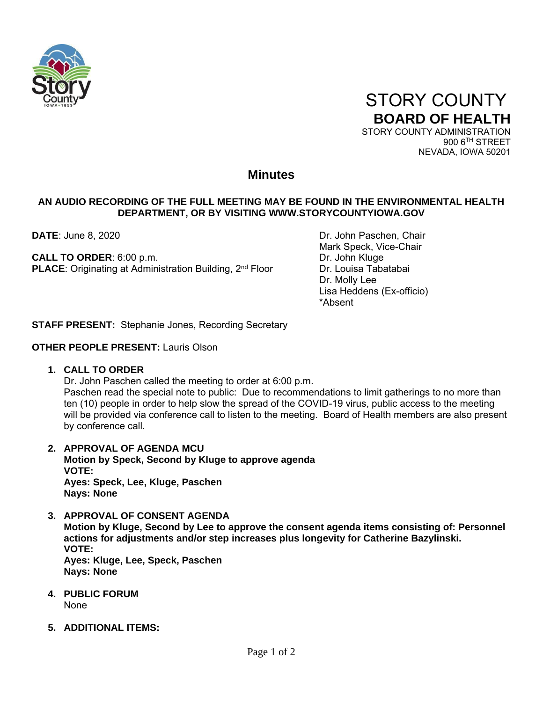

 STORY COUNTY **BOARD OF HEALTH** STORY COUNTY ADMINISTRATION

900 6TH STREET NEVADA, IOWA 50201

# **Minutes**

#### **AN AUDIO RECORDING OF THE FULL MEETING MAY BE FOUND IN THE ENVIRONMENTAL HEALTH DEPARTMENT, OR BY VISITING WWW.STORYCOUNTYIOWA.GOV**

**CALL TO ORDER:** 6:00 p.m. **Dr. John Kluge** Dr. John Kluge **PLACE:** Originating at Administration Building, 2<sup>nd</sup> Floor Dr. Louisa Tabatabai

**DATE**: June 8, 2020 **DATE:** June 8, 2020 Mark Speck, Vice-Chair Dr. Molly Lee Lisa Heddens (Ex-officio) \*Absent

**STAFF PRESENT:** Stephanie Jones, Recording Secretary

#### **OTHER PEOPLE PRESENT:** Lauris Olson

## **1. CALL TO ORDER**

Dr. John Paschen called the meeting to order at 6:00 p.m.

Paschen read the special note to public: Due to recommendations to limit gatherings to no more than ten (10) people in order to help slow the spread of the COVID-19 virus, public access to the meeting will be provided via conference call to listen to the meeting. Board of Health members are also present by conference call.

- **2. APPROVAL OF AGENDA MCU Motion by Speck, Second by Kluge to approve agenda VOTE: Ayes: Speck, Lee, Kluge, Paschen Nays: None**
- **3. APPROVAL OF CONSENT AGENDA Motion by Kluge, Second by Lee to approve the consent agenda items consisting of: Personnel actions for adjustments and/or step increases plus longevity for Catherine Bazylinski. VOTE: Ayes: Kluge, Lee, Speck, Paschen Nays: None**
- **4. PUBLIC FORUM** None
- **5. ADDITIONAL ITEMS:**